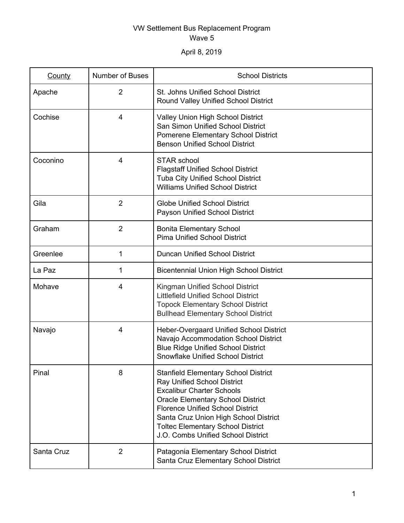## VW Settlement Bus Replacement Program Wave 5

April 8, 2019

| County     | <b>Number of Buses</b> | <b>School Districts</b>                                                                                                                                                                                                                                                                                                          |
|------------|------------------------|----------------------------------------------------------------------------------------------------------------------------------------------------------------------------------------------------------------------------------------------------------------------------------------------------------------------------------|
| Apache     | $\overline{2}$         | St. Johns Unified School District<br>Round Valley Unified School District                                                                                                                                                                                                                                                        |
| Cochise    | 4                      | Valley Union High School District<br>San Simon Unified School District<br><b>Pomerene Elementary School District</b><br><b>Benson Unified School District</b>                                                                                                                                                                    |
| Coconino   | 4                      | STAR school<br><b>Flagstaff Unified School District</b><br><b>Tuba City Unified School District</b><br><b>Williams Unified School District</b>                                                                                                                                                                                   |
| Gila       | $\overline{2}$         | <b>Globe Unified School District</b><br>Payson Unified School District                                                                                                                                                                                                                                                           |
| Graham     | $\overline{2}$         | <b>Bonita Elementary School</b><br><b>Pima Unified School District</b>                                                                                                                                                                                                                                                           |
| Greenlee   | 1                      | <b>Duncan Unified School District</b>                                                                                                                                                                                                                                                                                            |
| La Paz     | 1                      | <b>Bicentennial Union High School District</b>                                                                                                                                                                                                                                                                                   |
| Mohave     | 4                      | Kingman Unified School District<br><b>Littlefield Unified School District</b><br><b>Topock Elementary School District</b><br><b>Bullhead Elementary School District</b>                                                                                                                                                          |
| Navajo     | 4                      | Heber-Overgaard Unified School District<br>Navajo Accommodation School District<br><b>Blue Ridge Unified School District</b><br><b>Snowflake Unified School District</b>                                                                                                                                                         |
| Pinal      | 8                      | <b>Stanfield Elementary School District</b><br>Ray Unified School District<br><b>Excalibur Charter Schools</b><br><b>Oracle Elementary School District</b><br><b>Florence Unified School District</b><br>Santa Cruz Union High School District<br><b>Toltec Elementary School District</b><br>J.O. Combs Unified School District |
| Santa Cruz | $\overline{2}$         | Patagonia Elementary School District<br>Santa Cruz Elementary School District                                                                                                                                                                                                                                                    |